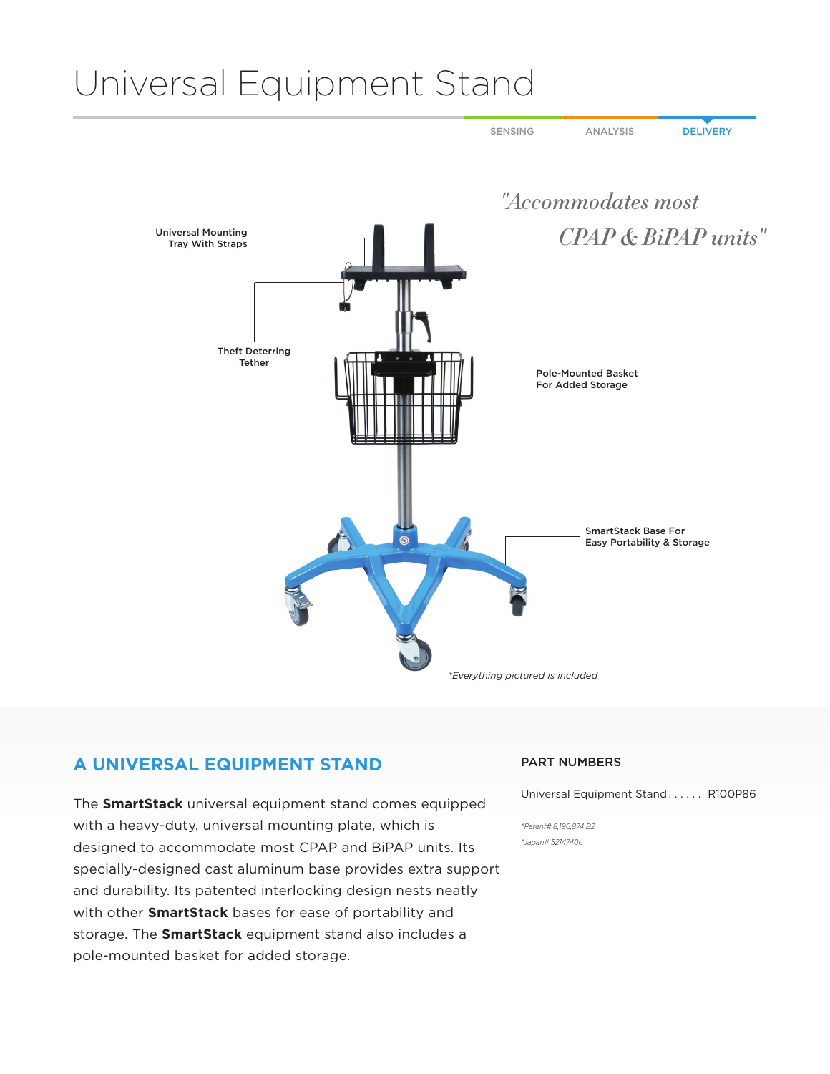# Universal Equipment Stand



## **A UNIVERSAL EQUIPMENT STAND**

The **SmartStack** universal equipment stand comes equipped with a heavy-duty, universal mounting plate, which is designed to accommodate most CPAP and BiPAP units. Its specially-designed cast aluminum base provides extra support and durability. Its patented interlocking design nests neatly with other **SmartStack** bases for ease of portability and storage. The **SmartStack** equipment stand also includes a pole-mounted basket for added storage.

#### PART NUMBERS

Universal Equipment Stand...... R100P86

*\*Patent# 8,196,874 B2 \*Japan# 5214740e*